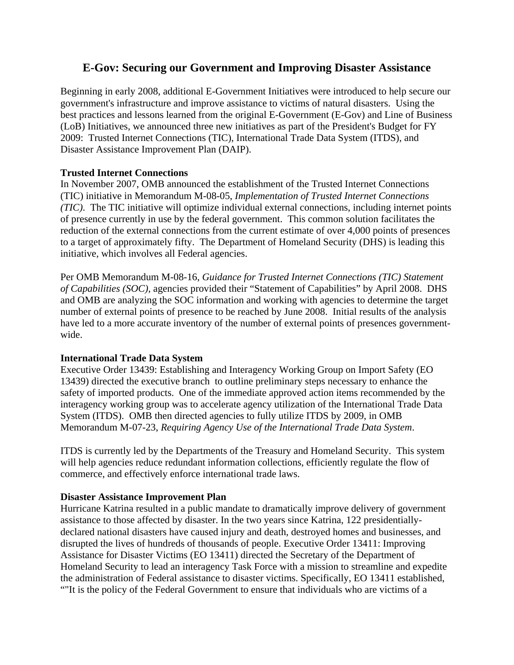# **E-Gov: Securing our Government and Improving Disaster Assistance**

Beginning in early 2008, additional E-Government Initiatives were introduced to help secure our government's infrastructure and improve assistance to victims of natural disasters. Using the best practices and lessons learned from the original E-Government (E-Gov) and Line of Business (LoB) Initiatives, we announced three new initiatives as part of the President's Budget for FY 2009: Trusted Internet Connections (TIC), International Trade Data System (ITDS), and Disaster Assistance Improvement Plan (DAIP).

# **Trusted Internet Connections**

In November 2007, OMB announced the establishment of the Trusted Internet Connections (TIC) initiative in Memorandum M-08-05, *Implementation of Trusted Internet Connections (TIC)*. The TIC initiative will optimize individual external connections, including internet points of presence currently in use by the federal government. This common solution facilitates the reduction of the external connections from the current estimate of over 4,000 points of presences to a target of approximately fifty. The Department of Homeland Security (DHS) is leading this initiative, which involves all Federal agencies.

Per OMB Memorandum M-08-16, *Guidance for Trusted Internet Connections (TIC) Statement of Capabilities (SOC)*, agencies provided their "Statement of Capabilities" by April 2008. DHS and OMB are analyzing the SOC information and working with agencies to determine the target number of external points of presence to be reached by June 2008. Initial results of the analysis have led to a more accurate inventory of the number of external points of presences governmentwide.

# **International Trade Data System**

Executive Order 13439: Establishing and Interagency Working Group on Import Safety (EO 13439) directed the executive branch to outline preliminary steps necessary to enhance the safety of imported products. One of the immediate approved action items recommended by the interagency working group was to accelerate agency utilization of the International Trade Data System (ITDS). OMB then directed agencies to fully utilize ITDS by 2009, in OMB Memorandum M-07-23, *Requiring Agency Use of the International Trade Data System*.

ITDS is currently led by the Departments of the Treasury and Homeland Security. This system will help agencies reduce redundant information collections, efficiently regulate the flow of commerce, and effectively enforce international trade laws.

# **Disaster Assistance Improvement Plan**

Hurricane Katrina resulted in a public mandate to dramatically improve delivery of government assistance to those affected by disaster. In the two years since Katrina, 122 presidentiallydeclared national disasters have caused injury and death, destroyed homes and businesses, and disrupted the lives of hundreds of thousands of people. Executive Order 13411: Improving Assistance for Disaster Victims (EO 13411) directed the Secretary of the Department of Homeland Security to lead an interagency Task Force with a mission to streamline and expedite the administration of Federal assistance to disaster victims. Specifically, EO 13411 established, ""It is the policy of the Federal Government to ensure that individuals who are victims of a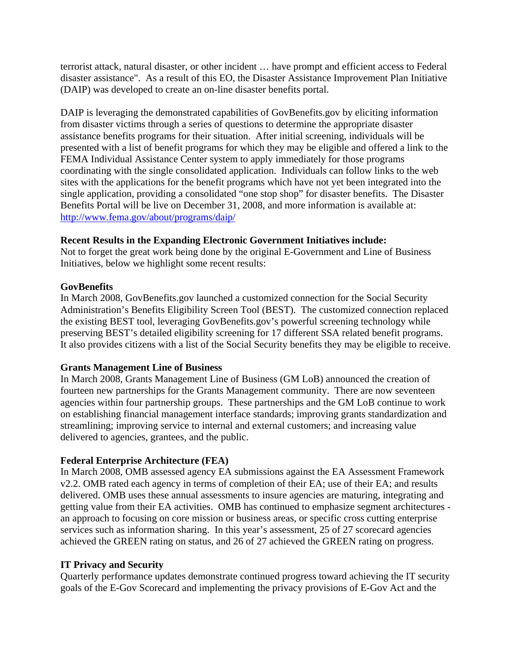terrorist attack, natural disaster, or other incident … have prompt and efficient access to Federal disaster assistance". As a result of this EO, the Disaster Assistance Improvement Plan Initiative (DAIP) was developed to create an on-line disaster benefits portal.

DAIP is leveraging the demonstrated capabilities of GovBenefits.gov by eliciting information from disaster victims through a series of questions to determine the appropriate disaster assistance benefits programs for their situation. After initial screening, individuals will be presented with a list of benefit programs for which they may be eligible and offered a link to the FEMA Individual Assistance Center system to apply immediately for those programs coordinating with the single consolidated application. Individuals can follow links to the web sites with the applications for the benefit programs which have not yet been integrated into the single application, providing a consolidated "one stop shop" for disaster benefits. The Disaster Benefits Portal will be live on December 31, 2008, and more information is available at: <http://www.fema.gov/about/programs/daip/>

## **Recent Results in the Expanding Electronic Government Initiatives include:**

Not to forget the great work being done by the original E-Government and Line of Business Initiatives, below we highlight some recent results:

### **GovBenefits**

In March 2008, GovBenefits.gov launched a customized connection for the Social Security Administration's Benefits Eligibility Screen Tool (BEST). The customized connection replaced the existing BEST tool, leveraging GovBenefits.gov's powerful screening technology while preserving BEST's detailed eligibility screening for 17 different SSA related benefit programs. It also provides citizens with a list of the Social Security benefits they may be eligible to receive.

### **Grants Management Line of Business**

In March 2008, Grants Management Line of Business (GM LoB) announced the creation of fourteen new partnerships for the Grants Management community. There are now seventeen agencies within four partnership groups. These partnerships and the GM LoB continue to work on establishing financial management interface standards; improving grants standardization and streamlining; improving service to internal and external customers; and increasing value delivered to agencies, grantees, and the public.

# **Federal Enterprise Architecture (FEA)**

In March 2008, OMB assessed agency EA submissions against the EA Assessment Framework v2.2. OMB rated each agency in terms of completion of their EA; use of their EA; and results delivered. OMB uses these annual assessments to insure agencies are maturing, integrating and getting value from their EA activities. OMB has continued to emphasize segment architectures an approach to focusing on core mission or business areas, or specific cross cutting enterprise services such as information sharing. In this year's assessment, 25 of 27 scorecard agencies achieved the GREEN rating on status, and 26 of 27 achieved the GREEN rating on progress.

# **IT Privacy and Security**

Quarterly performance updates demonstrate continued progress toward achieving the IT security goals of the E-Gov Scorecard and implementing the privacy provisions of E-Gov Act and the